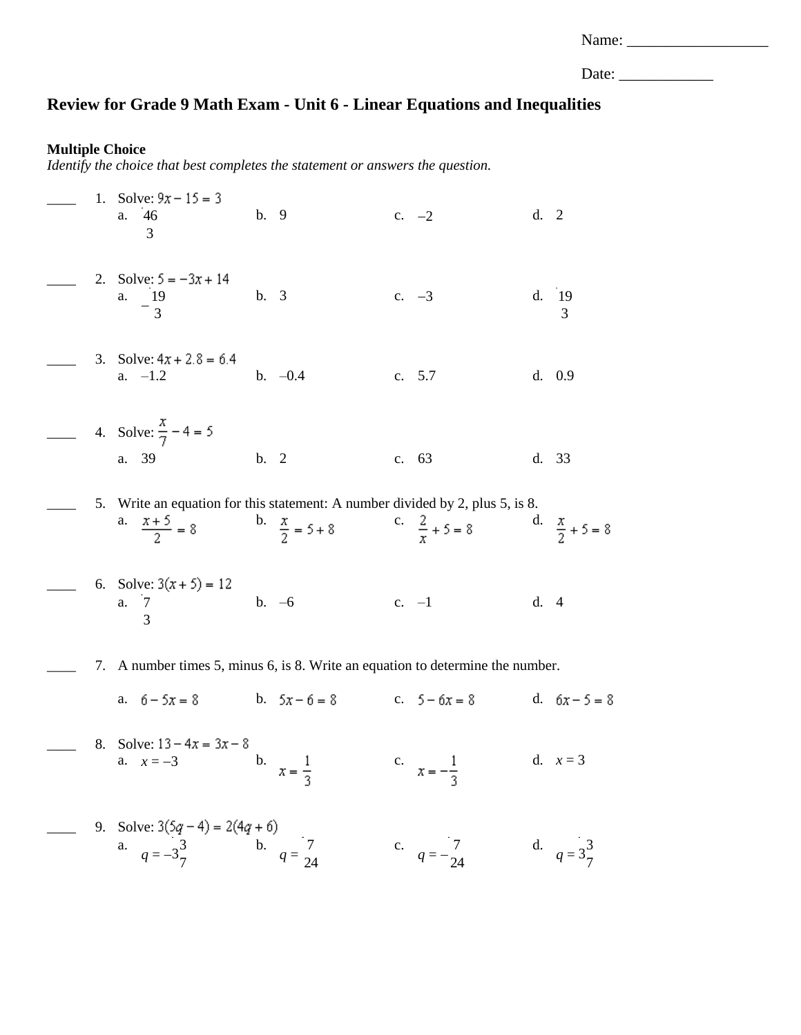| Name: |  |  |  |
|-------|--|--|--|
|       |  |  |  |

Date:  $\frac{1}{\sqrt{1-\frac{1}{2}}\cdot\frac{1}{2}}$ 

# **Review for Grade 9 Math Exam - Unit 6 - Linear Equations and Inequalities**

## **Multiple Choice**

*Identify the choice that best completes the statement or answers the question.*

|    | 1. Solve: $9x - 15 = 3$<br>a. 46<br>3                                                                                               | b. 9          |                    |         | c. $-2$                  | d. 2 |                          |
|----|-------------------------------------------------------------------------------------------------------------------------------------|---------------|--------------------|---------|--------------------------|------|--------------------------|
|    | 2. Solve: $5 = -3x + 14$<br>a. $- \frac{19}{3}$                                                                                     | b. 3          |                    |         | c. $-3$                  |      | d. 19<br>3               |
| 3. | Solve: $4x + 2.8 = 6.4$<br>a. $-1.2$                                                                                                |               | $b. -0.4$          |         | c. 5.7                   |      | d. 0.9                   |
|    | 4. Solve: $\frac{x}{7} - 4 = 5$<br>a. 39                                                                                            | b. 2          |                    |         | c. 63                    |      | d. 33                    |
|    | 5. Write an equation for this statement: A number divided by 2, plus 5, is 8.<br>a. $\frac{x+5}{2} = 8$<br>b. $\frac{x}{2} = 5 + 8$ |               |                    |         | c. $\frac{2}{r} + 5 = 8$ |      | d. $\frac{x}{2} + 5 = 8$ |
|    | 6. Solve: $3(x+5) = 12$<br>a. 7<br>a. 7                                                                                             | $b. -6$       |                    | $c. -1$ |                          | d.4  |                          |
|    | 7. A number times 5, minus 6, is 8. Write an equation to determine the number.                                                      |               |                    |         |                          |      |                          |
|    | a. $6-5x=8$ b. $5x-6=8$ c. $5-6x=8$ d. $6x-5=8$<br>8. Solve: $13 - 4x = 3x - 8$<br>a. $x = -3$                                      | $\mathbf b$ . | $x = \frac{1}{3}$  |         | c. $x = -\frac{1}{3}$    |      | d. $x = 3$               |
| 9. | Solve: $3(5q - 4) = 2(4q + 6)$<br>a. $q = -3\frac{3}{7}$                                                                            | $\mathbf b$ . | $q = \frac{7}{24}$ |         | c. $q = -\frac{7}{24}$   |      | d. $q = 3\frac{3}{7}$    |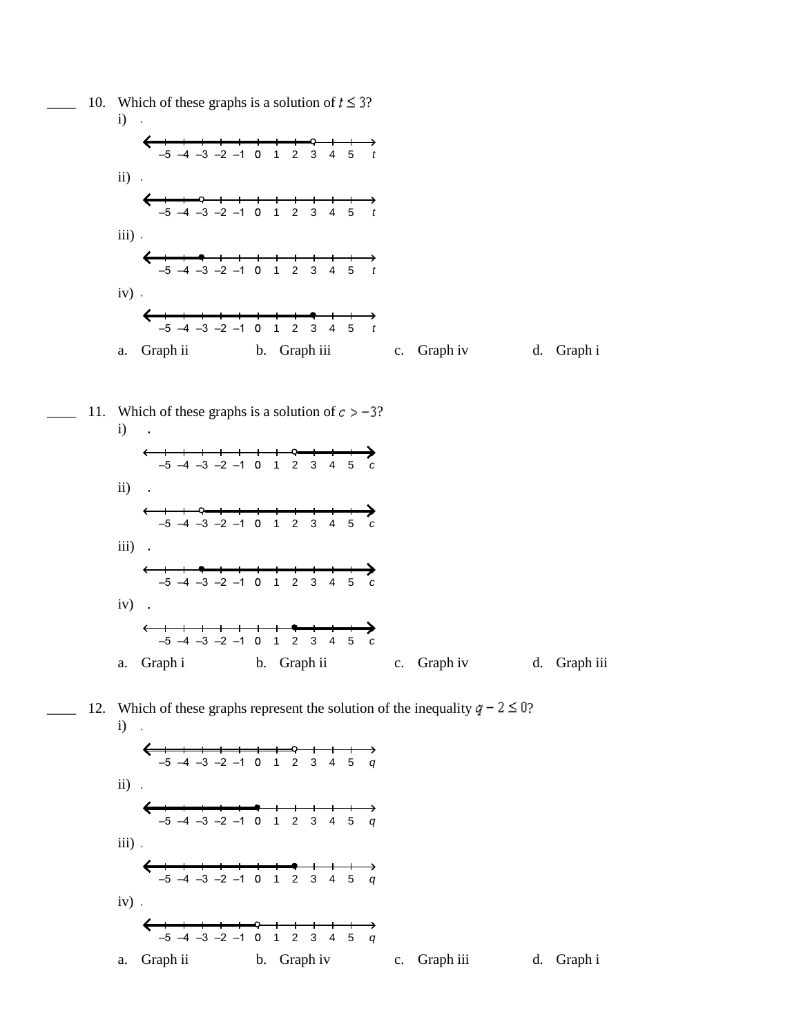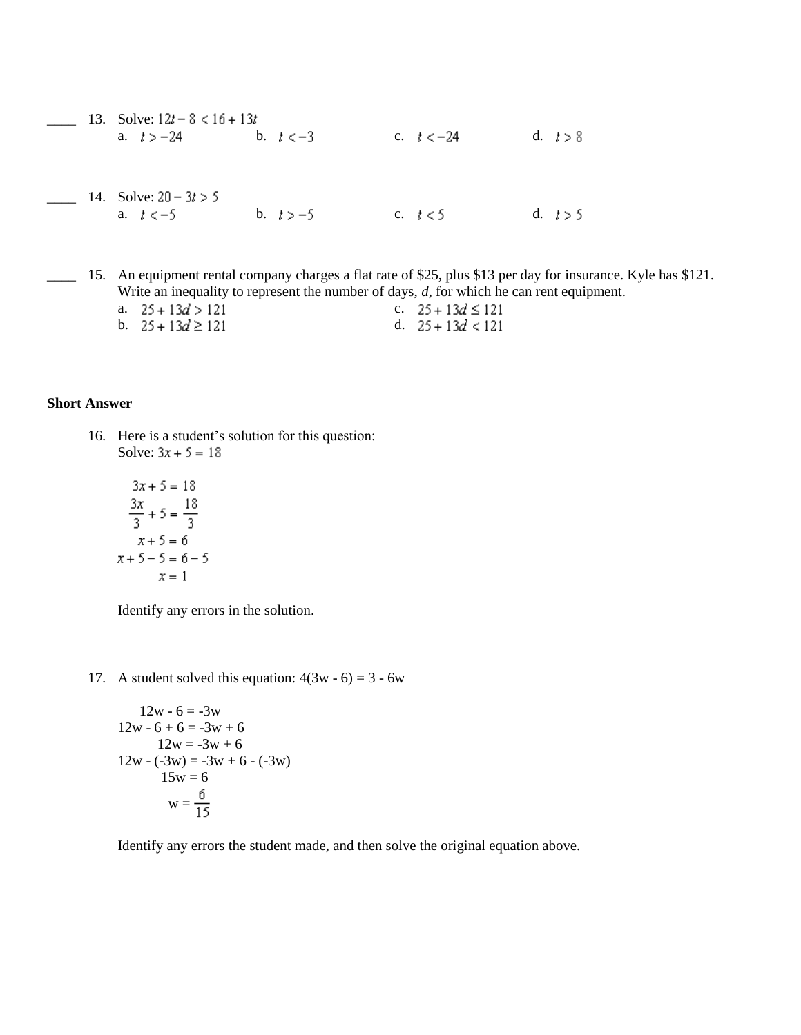|  | 13. Solve: $12t - 8 < 16 + 13t$<br>a. $t > -24$ | b. $t < -3$ | c. $t < -24$ | d. $t > 8$ |
|--|-------------------------------------------------|-------------|--------------|------------|
|  | 14. Solve: $20 - 3t > 5$<br>a. $t < -5$         | b. $t > -5$ | c. $t < 5$   | d. $t > 5$ |

\_\_\_\_ 15. An equipment rental company charges a flat rate of \$25, plus \$13 per day for insurance. Kyle has \$121. Write an inequality to represent the number of days, *d*, for which he can rent equipment.

| a. 25 + 13 <i>d</i> > 121 | c. $25 + 13d \le 121$ |
|---------------------------|-----------------------|
| b. $25 + 13d \ge 121$     | d. $25 + 13d < 121$   |

## **Short Answer**

16. Here is a student's solution for this question: Solve:  $3x + 5 = 18$ 

$$
3x + 5 = 18
$$
  

$$
\frac{3x}{3} + 5 = \frac{18}{3}
$$
  

$$
x + 5 = 6
$$
  

$$
x + 5 - 5 = 6 - 5
$$
  

$$
x = 1
$$

Identify any errors in the solution.

17. A student solved this equation:  $4(3w - 6) = 3 - 6w$ 

$$
12w - 6 = -3w
$$
  
\n
$$
12w - 6 + 6 = -3w + 6
$$
  
\n
$$
12w = -3w + 6
$$
  
\n
$$
12w - (-3w) = -3w + 6 - (-3w)
$$
  
\n
$$
15w = 6
$$
  
\n
$$
w = \frac{6}{15}
$$

Identify any errors the student made, and then solve the original equation above.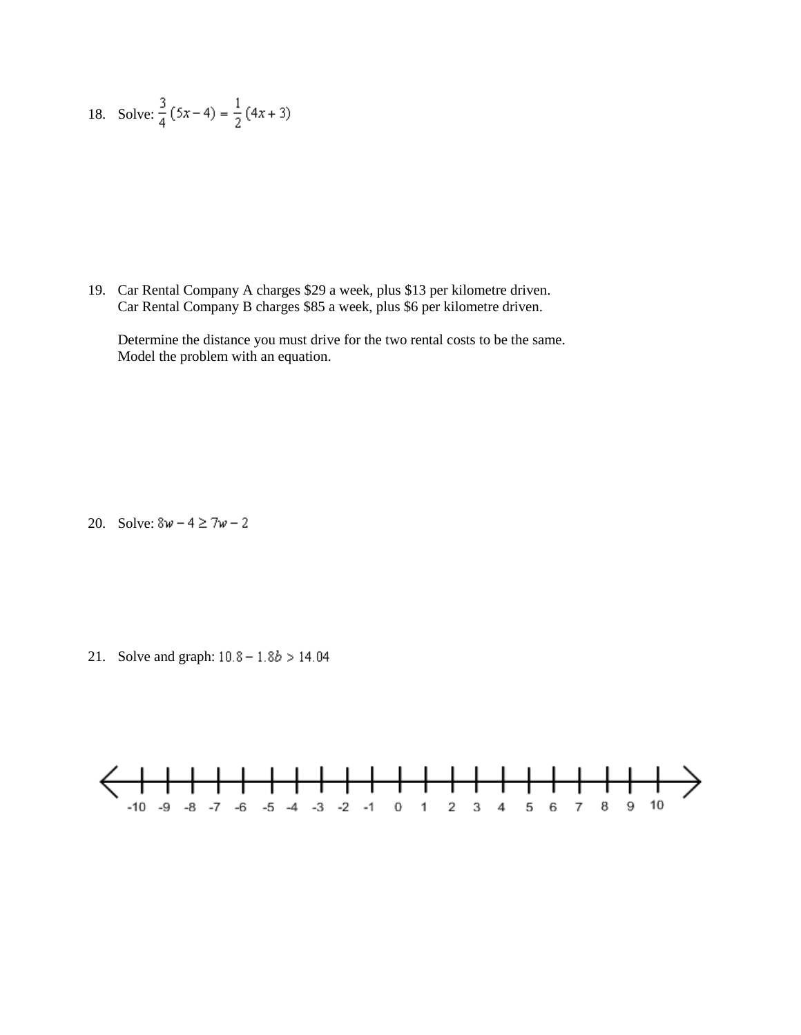18. Solve: 
$$
\frac{3}{4}(5x-4) = \frac{1}{2}(4x+3)
$$

19. Car Rental Company A charges \$29 a week, plus \$13 per kilometre driven. Car Rental Company B charges \$85 a week, plus \$6 per kilometre driven.

Determine the distance you must drive for the two rental costs to be the same. Model the problem with an equation.

20. Solve:  $8w - 4 \ge 7w - 2$ 

21. Solve and graph:  $10.8 - 1.8b > 14.04$ 

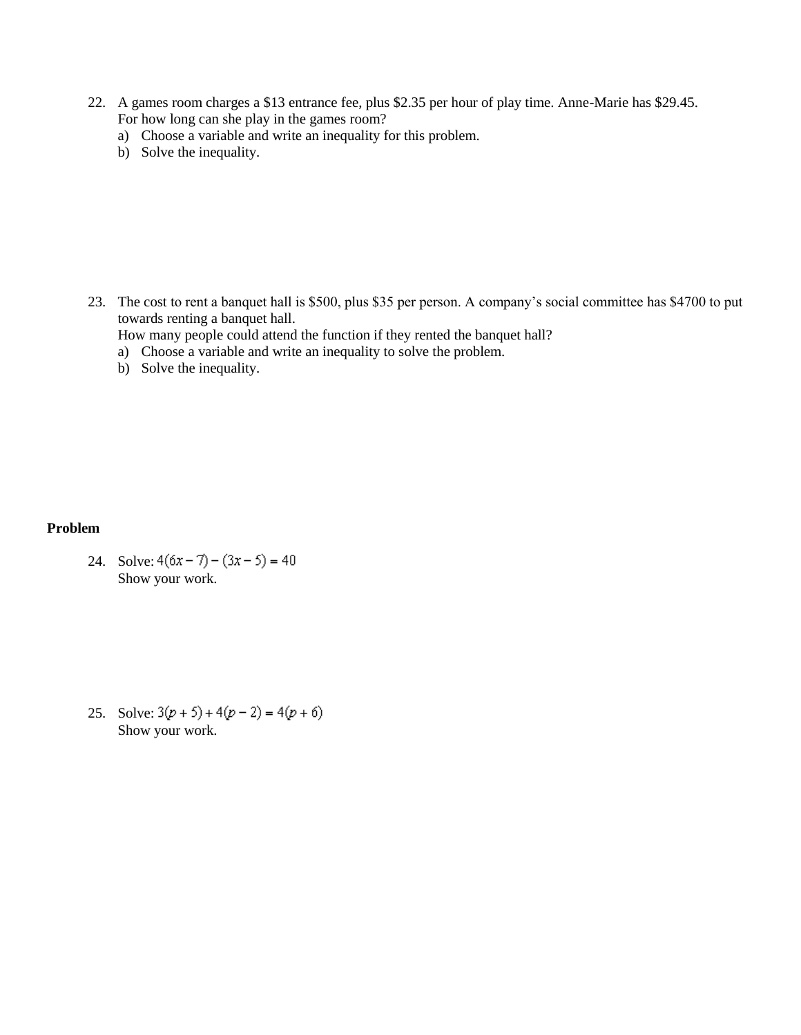- 22. A games room charges a \$13 entrance fee, plus \$2.35 per hour of play time. Anne-Marie has \$29.45. For how long can she play in the games room?
	- a) Choose a variable and write an inequality for this problem.
	- b) Solve the inequality.

23. The cost to rent a banquet hall is \$500, plus \$35 per person. A company's social committee has \$4700 to put towards renting a banquet hall.

How many people could attend the function if they rented the banquet hall?

- a) Choose a variable and write an inequality to solve the problem.
- b) Solve the inequality.

#### **Problem**

24. Solve:  $4(6x-7) - (3x-5) = 40$ Show your work.

25. Solve:  $3(p+5) + 4(p-2) = 4(p+6)$ Show your work.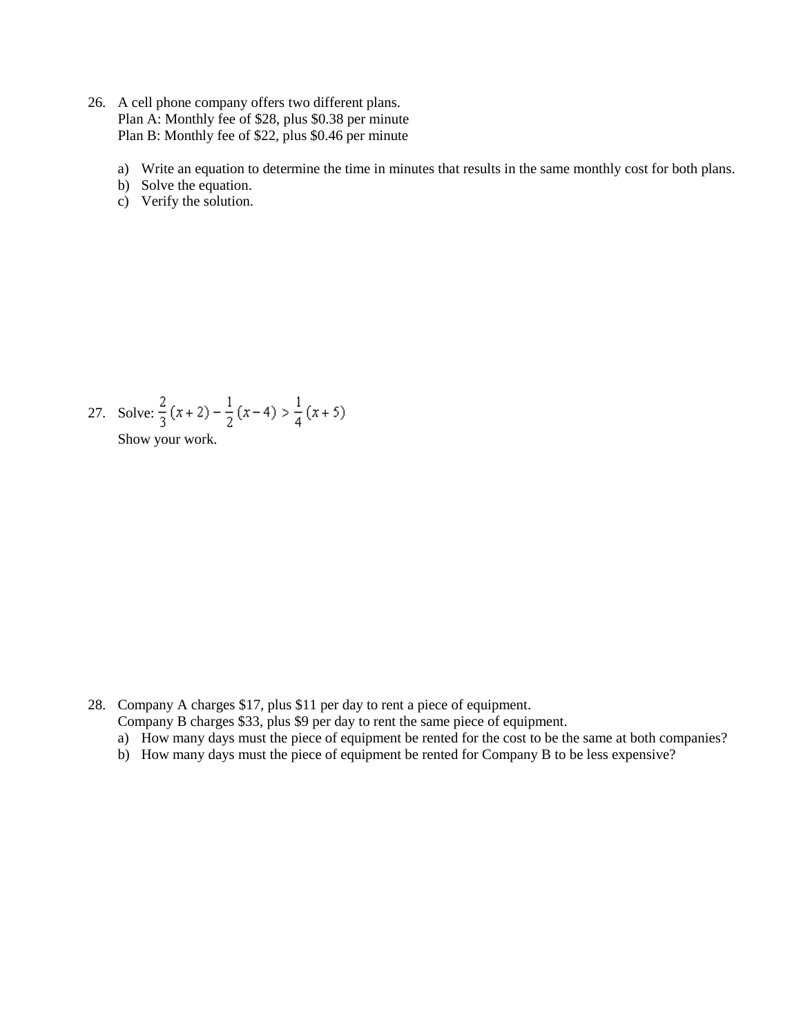- 26. A cell phone company offers two different plans. Plan A: Monthly fee of \$28, plus \$0.38 per minute Plan B: Monthly fee of \$22, plus \$0.46 per minute
	- a) Write an equation to determine the time in minutes that results in the same monthly cost for both plans.
	- b) Solve the equation.
	- c) Verify the solution.

27. Solve: 
$$
\frac{2}{3}(x+2) - \frac{1}{2}(x-4) > \frac{1}{4}(x+5)
$$

Show your work.

28. Company A charges \$17, plus \$11 per day to rent a piece of equipment.

Company B charges \$33, plus \$9 per day to rent the same piece of equipment.

- a) How many days must the piece of equipment be rented for the cost to be the same at both companies?
- b) How many days must the piece of equipment be rented for Company B to be less expensive?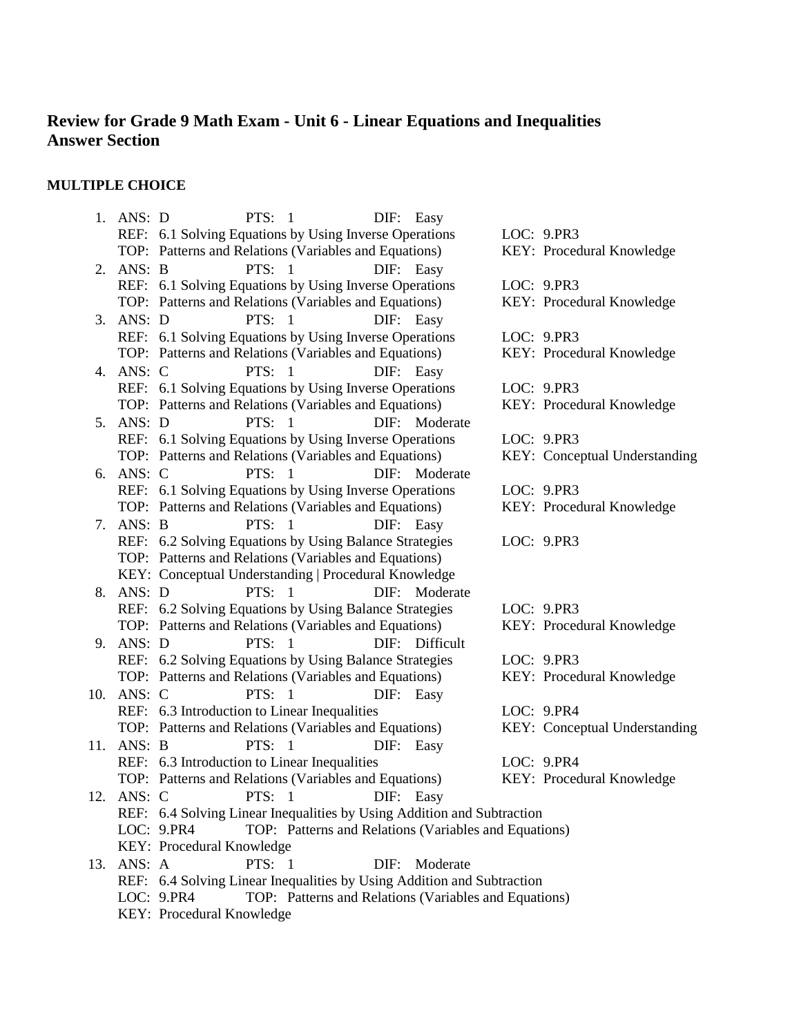## **Review for Grade 9 Math Exam - Unit 6 - Linear Equations and Inequalities Answer Section**

## **MULTIPLE CHOICE**

|     | 1. ANS: D | PTS: $1$<br>DIF: Easy                                                  |                               |
|-----|-----------|------------------------------------------------------------------------|-------------------------------|
|     |           | REF: 6.1 Solving Equations by Using Inverse Operations                 | LOC: 9.PR3                    |
|     |           | TOP: Patterns and Relations (Variables and Equations)                  | KEY: Procedural Knowledge     |
| 2.  | ANS: B    | <b>PTS: 1</b><br>DIF: Easy                                             |                               |
|     |           | REF: 6.1 Solving Equations by Using Inverse Operations                 | LOC: 9.PR3                    |
|     |           | TOP: Patterns and Relations (Variables and Equations)                  | KEY: Procedural Knowledge     |
|     | 3. ANS: D | PTS: $1$<br>DIF: Easy                                                  |                               |
|     |           | REF: 6.1 Solving Equations by Using Inverse Operations                 | LOC: 9.PR3                    |
|     |           | TOP: Patterns and Relations (Variables and Equations)                  | KEY: Procedural Knowledge     |
| 4.  | ANS: C    | PTS: $1$<br>DIF:<br>Easy                                               |                               |
|     |           | REF: 6.1 Solving Equations by Using Inverse Operations                 | LOC: 9.PR3                    |
|     |           | TOP: Patterns and Relations (Variables and Equations)                  | KEY: Procedural Knowledge     |
|     | 5. ANS: D | <b>PTS: 1</b><br>DIF: Moderate                                         |                               |
|     |           | REF: 6.1 Solving Equations by Using Inverse Operations                 | LOC: 9.PR3                    |
|     |           | TOP: Patterns and Relations (Variables and Equations)                  | KEY: Conceptual Understanding |
|     | 6. ANS: C | PTS: $1$<br>DIF: Moderate                                              |                               |
|     |           | REF: 6.1 Solving Equations by Using Inverse Operations                 | LOC: 9.PR3                    |
|     |           | TOP: Patterns and Relations (Variables and Equations)                  | KEY: Procedural Knowledge     |
| 7.  | ANS: B    | PTS: $1$<br>DIF: Easy                                                  |                               |
|     |           | REF: 6.2 Solving Equations by Using Balance Strategies                 | LOC: 9.PR3                    |
|     |           | TOP: Patterns and Relations (Variables and Equations)                  |                               |
|     |           | KEY: Conceptual Understanding   Procedural Knowledge                   |                               |
| 8.  | ANS: D    | PTS: $1$<br>DIF: Moderate                                              |                               |
|     |           | REF: 6.2 Solving Equations by Using Balance Strategies                 | LOC: 9.PR3                    |
|     |           | TOP: Patterns and Relations (Variables and Equations)                  | KEY: Procedural Knowledge     |
|     | 9. ANS: D | PTS: $1$<br>DIF: Difficult                                             |                               |
|     |           | REF: 6.2 Solving Equations by Using Balance Strategies                 | LOC: 9.PR3                    |
|     |           | TOP: Patterns and Relations (Variables and Equations)                  | KEY: Procedural Knowledge     |
| 10. | ANS: C    | <b>PTS: 1</b><br>DIF: Easy                                             |                               |
|     |           | REF: 6.3 Introduction to Linear Inequalities                           | LOC: 9.PR4                    |
|     |           | TOP: Patterns and Relations (Variables and Equations)                  | KEY: Conceptual Understanding |
| 11. | ANS: B    | PTS: 1<br>DIF:<br>Easy                                                 |                               |
|     |           | REF: 6.3 Introduction to Linear Inequalities                           | LOC: 9.PR4                    |
|     |           | TOP: Patterns and Relations (Variables and Equations)                  | KEY: Procedural Knowledge     |
| 12. | ANS: C    | PTS: 1 DIF: Easy                                                       |                               |
|     |           | REF: 6.4 Solving Linear Inequalities by Using Addition and Subtraction |                               |
|     |           | TOP: Patterns and Relations (Variables and Equations)<br>LOC: 9.PR4    |                               |
|     |           | KEY: Procedural Knowledge                                              |                               |
| 13. | ANS: A    | PTS: 1<br>Moderate<br>DIF:                                             |                               |
|     |           | REF: 6.4 Solving Linear Inequalities by Using Addition and Subtraction |                               |
|     |           | LOC: 9.PR4<br>TOP: Patterns and Relations (Variables and Equations)    |                               |
|     |           | KEY: Procedural Knowledge                                              |                               |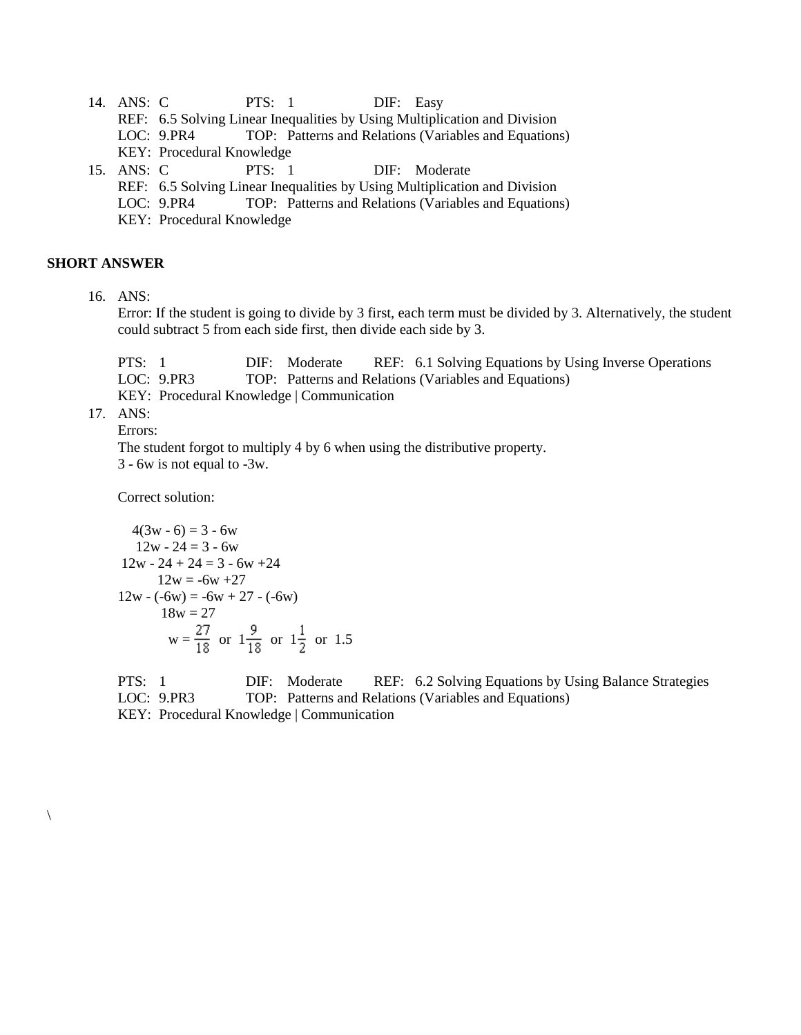14. ANS: C PTS: 1 DIF: Easy REF: 6.5 Solving Linear Inequalities by Using Multiplication and Division LOC: 9.PR4 TOP: Patterns and Relations (Variables and Equations) KEY: Procedural Knowledge 15. ANS: C PTS: 1 DIF: Moderate

REF: 6.5 Solving Linear Inequalities by Using Multiplication and Division LOC: 9.PR4 TOP: Patterns and Relations (Variables and Equations) KEY: Procedural Knowledge

#### **SHORT ANSWER**

16. ANS:

Error: If the student is going to divide by 3 first, each term must be divided by 3. Alternatively, the student could subtract 5 from each side first, then divide each side by 3.

PTS: 1 DIF: Moderate REF: 6.1 Solving Equations by Using Inverse Operations LOC: 9.PR3 TOP: Patterns and Relations (Variables and Equations) KEY: Procedural Knowledge | Communication

17. ANS:

 $\setminus$ 

Errors:

The student forgot to multiply 4 by 6 when using the distributive property. 3 - 6w is not equal to -3w.

Correct solution:

$$
4(3w - 6) = 3 - 6w
$$
  
\n
$$
12w - 24 = 3 - 6w
$$
  
\n
$$
12w - 24 + 24 = 3 - 6w + 24
$$
  
\n
$$
12w = -6w + 27
$$
  
\n
$$
12w - (-6w) = -6w + 27 - (-6w)
$$
  
\n
$$
18w = 27
$$
  
\n
$$
w = \frac{27}{18} \text{ or } 1\frac{9}{18} \text{ or } 1\frac{1}{2} \text{ or } 1.5
$$

PTS: 1 DIF: Moderate REF: 6.2 Solving Equations by Using Balance Strategies LOC: 9.PR3 TOP: Patterns and Relations (Variables and Equations) KEY: Procedural Knowledge | Communication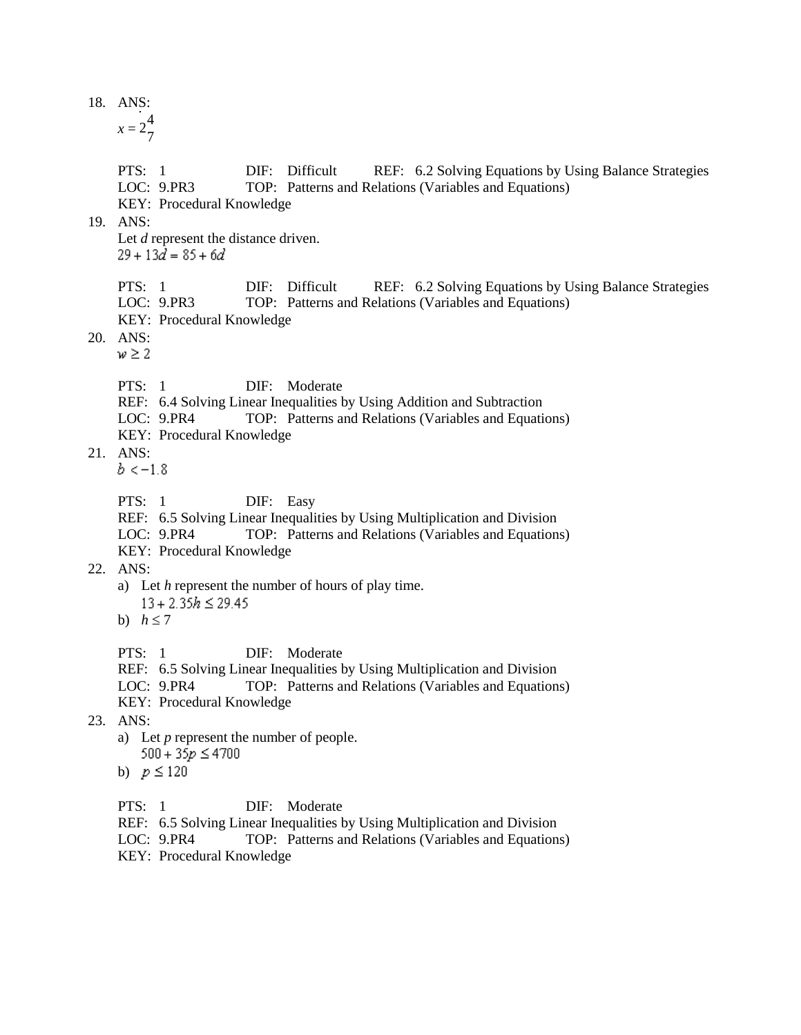#### 18. ANS:

- $x = 2\frac{4}{7}$ 7
- PTS: 1 DIF: Difficult REF: 6.2 Solving Equations by Using Balance Strategies LOC: 9.PR3 TOP: Patterns and Relations (Variables and Equations) KEY: Procedural Knowledge
- 19. ANS:

Let *d* represent the distance driven.  $29 + 13d = 85 + 6d$ 

- PTS: 1 DIF: Difficult REF: 6.2 Solving Equations by Using Balance Strategies LOC: 9.PR3 TOP: Patterns and Relations (Variables and Equations) KEY: Procedural Knowledge
- 20. ANS:
	- $w \geq 2$ 
		- PTS: 1 DIF: Moderate
		- REF: 6.4 Solving Linear Inequalities by Using Addition and Subtraction
		- LOC: 9.PR4 TOP: Patterns and Relations (Variables and Equations)
		- KEY: Procedural Knowledge
- 21. ANS:
	- $b < -1.8$
	- PTS: 1 DIF: Easy
	- REF: 6.5 Solving Linear Inequalities by Using Multiplication and Division
	- LOC: 9.PR4 TOP: Patterns and Relations (Variables and Equations)
	- KEY: Procedural Knowledge
- 22. ANS:
	- a) Let *h* represent the number of hours of play time.
		- $13 + 2.35h \le 29.45$
	- b)  $h \leq 7$

PTS: 1 DIF: Moderate

- REF: 6.5 Solving Linear Inequalities by Using Multiplication and Division
- LOC: 9.PR4 TOP: Patterns and Relations (Variables and Equations)
- KEY: Procedural Knowledge
- 23. ANS:
	- a) Let *p* represent the number of people.  $500 + 35p \le 4700$
	- b)  $p \le 120$
	- PTS: 1 DIF: Moderate
	- REF: 6.5 Solving Linear Inequalities by Using Multiplication and Division
	- LOC: 9.PR4 TOP: Patterns and Relations (Variables and Equations)
	- KEY: Procedural Knowledge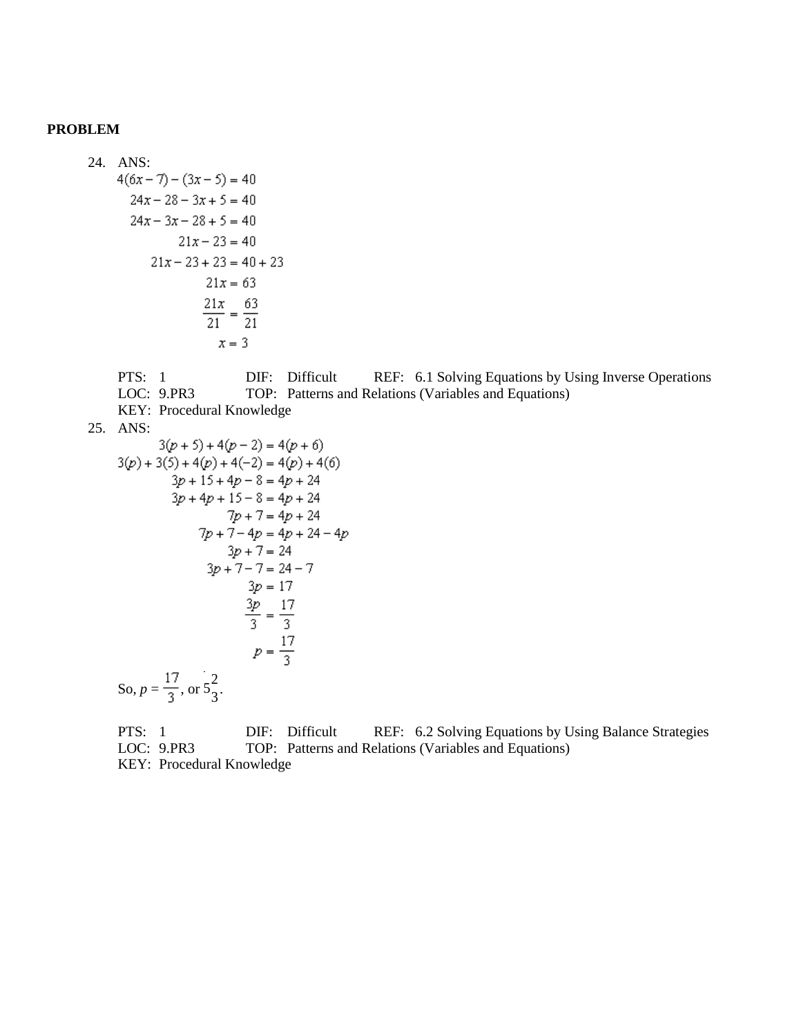### **PROBLEM**

24. ANS:  
\n
$$
4(6x-7) - (3x-5) = 40
$$
\n
$$
24x - 28 - 3x + 5 = 40
$$
\n
$$
24x - 3x - 28 + 5 = 40
$$
\n
$$
21x - 23 = 40
$$
\n
$$
21x - 23 + 23 = 40 + 23
$$
\n
$$
21x = 63
$$
\n
$$
\frac{21x}{21} = \frac{63}{21}
$$
\n
$$
x = 3
$$

PTS: 1 DIF: Difficult REF: 6.1 Solving Equations by Using Inverse Operations LOC: 9.PR3 TOP: Patterns and Relations (Variables and Equations) KEY: Procedural Knowledge 25. ANS:  $3(p+5) + 4(p-2) = 4(p+6)$  $3(p) + 3(5) + 4(p) + 4(-2) = 4(p) + 4(6)$  $3p + 15 + 4p - 8 = 4p + 24$  $3p + 4p + 15 - 8 = 4p + 24$  $7p + 7 = 4p + 24$  $7p + 7 - 4p = 4p + 24 - 4p$  $3p + 7 = 24$ <br> $3p + 7 - 7 = 24 - 7$  $3p = 17$ <br> $\frac{3p}{3} = \frac{17}{3}$  $p = \frac{17}{3}$ 

So,  $p = \frac{17}{3}$ , or  $5<sup>2</sup>$ 3 .

PTS: 1 DIF: Difficult REF: 6.2 Solving Equations by Using Balance Strategies LOC: 9.PR3 TOP: Patterns and Relations (Variables and Equations) KEY: Procedural Knowledge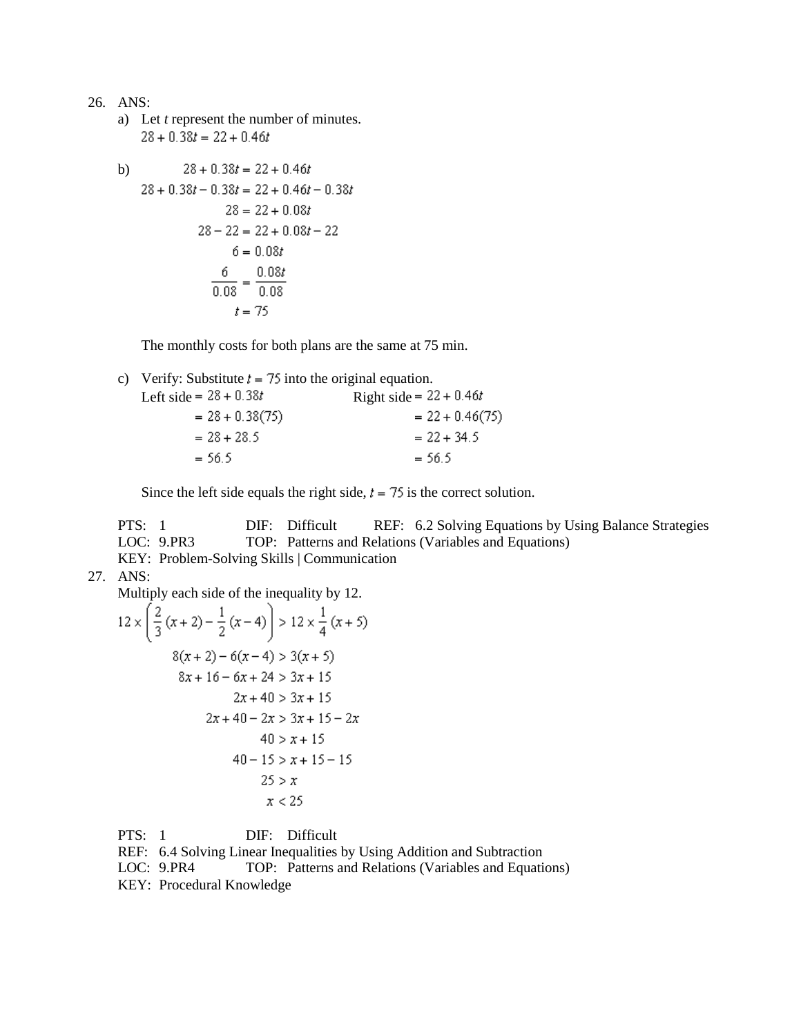26. ANS:

a) Let *t* represent the number of minutes.  $28 + 0.38t = 22 + 0.46t$ 

b) 
$$
28 + 0.38t = 22 + 0.46t
$$

$$
28 + 0.38t - 0.38t = 22 + 0.46t - 0.38t
$$

$$
28 = 22 + 0.08t
$$

$$
28 - 22 = 22 + 0.08t - 22
$$

$$
6 = 0.08t
$$

$$
\frac{6}{0.08} = \frac{0.08t}{0.08}
$$

$$
t = 75
$$

The monthly costs for both plans are the same at 75 min.

c) Verify: Substitute  $t = 75$  into the original equation. Left side =  $28 + 0.38t$ <br>Right side =  $22 + 0.46t$  $= 28 + 0.38(75)$  $= 22 + 0.46(75)$  $= 28 + 28.5$  $= 22 + 34.5$  $= 56.5$  $= 56.5$ 

Since the left side equals the right side,  $t = 75$  is the correct solution.

PTS: 1 DIF: Difficult REF: 6.2 Solving Equations by Using Balance Strategies LOC: 9.PR3 TOP: Patterns and Relations (Variables and Equations) KEY: Problem-Solving Skills | Communication

27. ANS:

Multiply each side of the inequality by 12.

$$
12 \times \left(\frac{2}{3}(x+2) - \frac{1}{2}(x-4)\right) > 12 \times \frac{1}{4}(x+5)
$$
  
\n
$$
8(x+2) - 6(x-4) > 3(x+5)
$$
  
\n
$$
8x + 16 - 6x + 24 > 3x + 15
$$
  
\n
$$
2x + 40 > 3x + 15
$$
  
\n
$$
2x + 40 - 2x > 3x + 15 - 2x
$$
  
\n
$$
40 > x + 15
$$
  
\n
$$
40 - 15 > x + 15 - 15
$$
  
\n
$$
25 > x
$$
  
\n
$$
x < 25
$$

PTS: 1 DIF: Difficult

REF: 6.4 Solving Linear Inequalities by Using Addition and Subtraction

LOC: 9.PR4 TOP: Patterns and Relations (Variables and Equations)

KEY: Procedural Knowledge